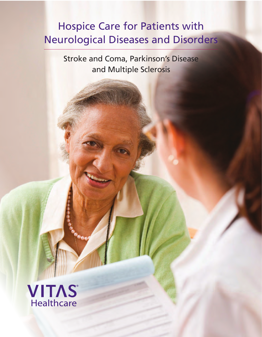# Hospice Care for Patients with Neurological Diseases and Disorders

Stroke and Coma, Parkinson's Disease and Multiple Sclerosis

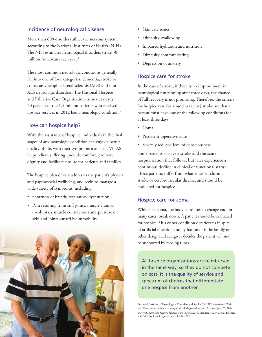## Incidence of neurological disease

More than 600 disorders afflict the nervous system, according to the National Institutes of Health (NIH). The NIH estimates neurological disorders strike 50 million Americans each year.<sup>1</sup>

The most common neurologic conditions generally fall into one of four categories: dementia, stroke or coma, amyotrophic lateral sclerosis (ALS) and non-ALS neurologic disorders. The National Hospice and Palliative Care Organization estimates nearly 20 percent of the 1.5 million patients who received hospice services in 2012 had a neurologic condition.<sup>2</sup>

## How can hospice help?

With the assistance of hospice, individuals in the final stages of any neurologic condition can enjoy a better quality of life, with their symptoms managed. VITAS helps relieve suffering, provide comfort, promote dignity and facilitate closure for patients and families.

The hospice plan of care addresses the patient's physical and psychosocial wellbeing, and seeks to manage a wide variety of symptoms, including:

- Shortness of breath; respiratory dysfunction
- Pain resulting from stiff joints, muscle cramps, involuntary muscle contractions and pressure on skin and joints caused by immobility



- Skin care issues
- Difficulty swallowing
- Impaired hydration and nutrition
- Difficulty communicating
- Depression or anxiety

#### Hospice care for stroke

In the case of stroke, if there is no improvement in neurological functioning after three days, the chance of full recovery is not promising. Therefore, the criteria for hospice care for a sudden (acute) stroke are that a person must have one of the following conditions for at least three days:

- Coma
- Persistent vegetative state
- Severely reduced level of consciousness

Some patients survive a stroke and the acute hospitalization that follows, but later experience a continuous decline in clinical or functional status. These patients suffer from what is called chronic stroke or cerebrovascular disease, and should be evaluated for hospice.

### Hospice care for coma

While in a coma, the body continues to change and, in many cases, break down. A patient should be evaluated for hospice if his or her condition deteriorates in spite of artificial nutrition and hydration or if the family or other designated caregiver decides the patient will not be supported by feeding tubes.

All hospice organizations are reimbursed in the same way, so they do not compete on cost. It is the quality of service and spectrum of choices that differentiate one hospice from another.

'National Institute of Neurological Disorders and Stroke. "NINDS Overview." Web. http://www.ninds.nih.gov/about\_ninds/ninds\_overview.htm. Accessed July 23, 2014. <sup>2</sup>NHPCO Facts and Figures: Hospice Care in America. Alexandria, VA: National Hospice and Palliative Care Organization, October 2013.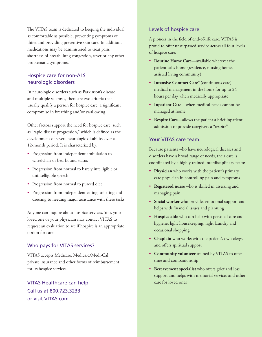The VITAS team is dedicated to keeping the individual as comfortable as possible, preventing symptoms of thirst and providing preventive skin care. In addition, medications may be administered to treat pain, shortness of breath, lung congestion, fever or any other problematic symptoms.

## Hospice care for non-ALS neurologic disorders

In neurologic disorders such as Parkinson's disease and multiple sclerosis, there are two criteria that usually qualify a person for hospice care: a significant compromise in breathing and/or swallowing.

Other factors support the need for hospice care, such as "rapid disease progression," which is defined as the development of severe neurologic disability over a 12-month period. It is characterized by:

- Progression from independent ambulation to wheelchair or bed-bound status
- Progression from normal to barely intelligible or unintelligible speech
- Progression from normal to pureed diet
- Progression from independent eating, toileting and dressing to needing major assistance with these tasks

Anyone can inquire about hospice services. You, your loved one or your physician may contact VITAS to request an evaluation to see if hospice is an appropriate option for care.

## Who pays for VITAS services?

VITAS accepts Medicare, Medicaid/Medi-Cal, private insurance and other forms of reimbursement for its hospice services.

VITAS Healthcare can help. Call us at 800.723.3233 or visit VITAS.com

## Levels of hospice care

A pioneer in the field of end-of-life care, VITAS is proud to offer unsurpassed service across all four levels of hospice care:

- **Routine Home Care**—available wherever the patient calls home (residence, nursing home, assisted living community)
- **Intensive Comfort Care**® (continuous care) medical management in the home for up to 24 hours per day when medically appropriate
- **Inpatient Care**—when medical needs cannot be managed at home
- **Respite Care**—allows the patient a brief inpatient admission to provide caregivers a "respite"

## Your VITAS care team

Because patients who have neurological diseases and disorders have a broad range of needs, their care is coordinated by a highly trained interdisciplinary team:

- **• Physician** who works with the patient's primary care physician in controlling pain and symptoms
- **Registered nurse** who is skilled in assessing and managing pain
- **Social worker** who provides emotional support and helps with financial issues and planning
- **Hospice aide** who can help with personal care and hygiene, light housekeeping, light laundry and occasional shopping
- **Chaplain** who works with the patient's own clergy and offers spiritual support
- **Community volunteer** trained by VITAS to offer time and companionship
- **Bereavement specialist** who offers grief and loss support and helps with memorial services and other care for loved ones